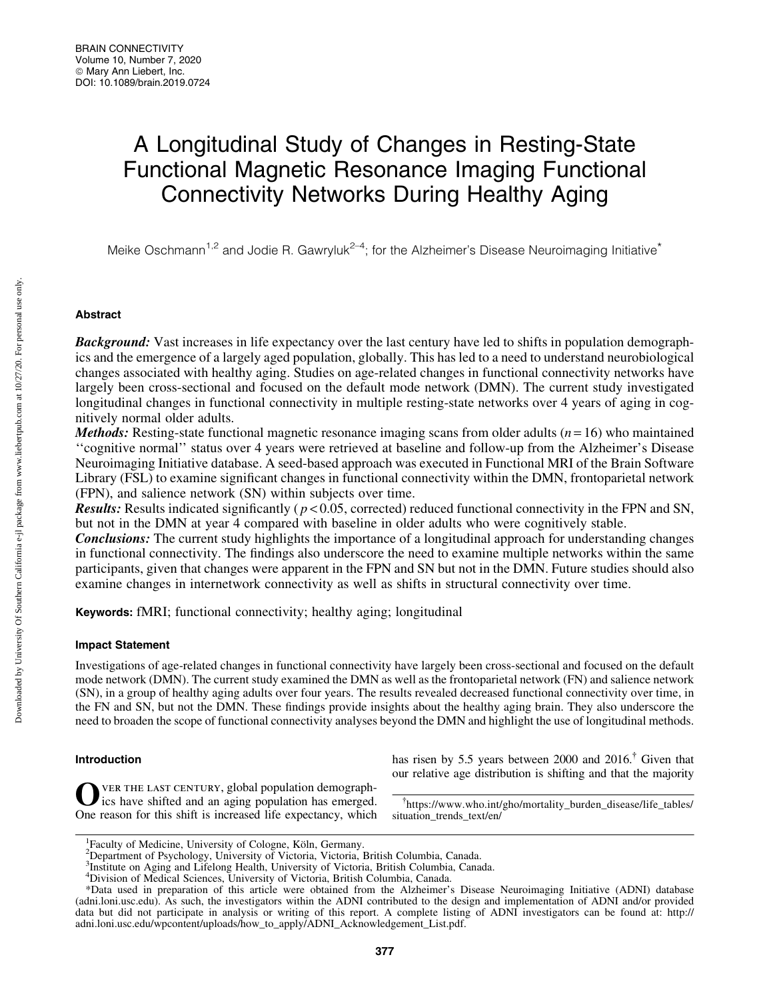# A Longitudinal Study of Changes in Resting-State Functional Magnetic Resonance Imaging Functional Connectivity Networks During Healthy Aging

Meike Oschmann<sup>1,2</sup> and Jodie R. Gawryluk<sup>2-4</sup>; for the Alzheimer's Disease Neuroimaging Initiative<sup>\*</sup>

# Abstract

**Background:** Vast increases in life expectancy over the last century have led to shifts in population demographics and the emergence of a largely aged population, globally. This has led to a need to understand neurobiological changes associated with healthy aging. Studies on age-related changes in functional connectivity networks have largely been cross-sectional and focused on the default mode network (DMN). The current study investigated longitudinal changes in functional connectivity in multiple resting-state networks over 4 years of aging in cognitively normal older adults.

*Methods:* Resting-state functional magnetic resonance imaging scans from older adults  $(n=16)$  who maintained ''cognitive normal'' status over 4 years were retrieved at baseline and follow-up from the Alzheimer's Disease Neuroimaging Initiative database. A seed-based approach was executed in Functional MRI of the Brain Software Library (FSL) to examine significant changes in functional connectivity within the DMN, frontoparietal network (FPN), and salience network (SN) within subjects over time.

**Results:** Results indicated significantly ( $p < 0.05$ , corrected) reduced functional connectivity in the FPN and SN, but not in the DMN at year 4 compared with baseline in older adults who were cognitively stable.

**Conclusions:** The current study highlights the importance of a longitudinal approach for understanding changes in functional connectivity. The findings also underscore the need to examine multiple networks within the same participants, given that changes were apparent in the FPN and SN but not in the DMN. Future studies should also examine changes in internetwork connectivity as well as shifts in structural connectivity over time.

Keywords: fMRI; functional connectivity; healthy aging; longitudinal

# Impact Statement

Investigations of age-related changes in functional connectivity have largely been cross-sectional and focused on the default mode network (DMN). The current study examined the DMN as well as the frontoparietal network (FN) and salience network (SN), in a group of healthy aging adults over four years. The results revealed decreased functional connectivity over time, in the FN and SN, but not the DMN. These findings provide insights about the healthy aging brain. They also underscore the need to broaden the scope of functional connectivity analyses beyond the DMN and highlight the use of longitudinal methods.

# Introduction

OVER THE LAST CENTURY, global population demograph-<br>ics have shifted and an aging population has emerged. One reason for this shift is increased life expectancy, which has risen by 5.5 years between 2000 and  $2016$ <sup>†</sup> Given that our relative age distribution is shifting and that the majority

{ [https://www.who.int/gho/mortality\\_burden\\_disease/life\\_tables/](https://www.who.int/gho/mortality_burden_disease/life_tables/situation_trends_text/en/) [situation\\_trends\\_text/en/](https://www.who.int/gho/mortality_burden_disease/life_tables/situation_trends_text/en/)

<sup>&</sup>lt;sup>1</sup> Faculty of Medicine, University of Cologne, Köln, Germany.<br><sup>2</sup> Department of Psychology, University of Victoria, Victoria, British Columbia, Canada.

<sup>&</sup>lt;sup>3</sup>Institute on Aging and Lifelong Health, University of Victoria, British Columbia, Canada.

<sup>4</sup> Division of Medical Sciences, University of Victoria, British Columbia, Canada.

<sup>\*</sup>Data used in preparation of this article were obtained from the Alzheimer's Disease Neuroimaging Initiative (ADNI) database (adni.loni.usc.edu). As such, the investigators within the ADNI contributed to the design and implementation of ADNI and/or provided data but did not participate in analysis or writing of this report. A complete listing of ADNI investigators can be found at: [http://](http://adni.loni.usc.edu/wpcontent/uploads/how_to_apply/ADNI_Acknowledgement_List.pdf) [adni.loni.usc.edu/wpcontent/uploads/how\\_to\\_apply/ADNI\\_Acknowledgement\\_List.pdf](http://adni.loni.usc.edu/wpcontent/uploads/how_to_apply/ADNI_Acknowledgement_List.pdf).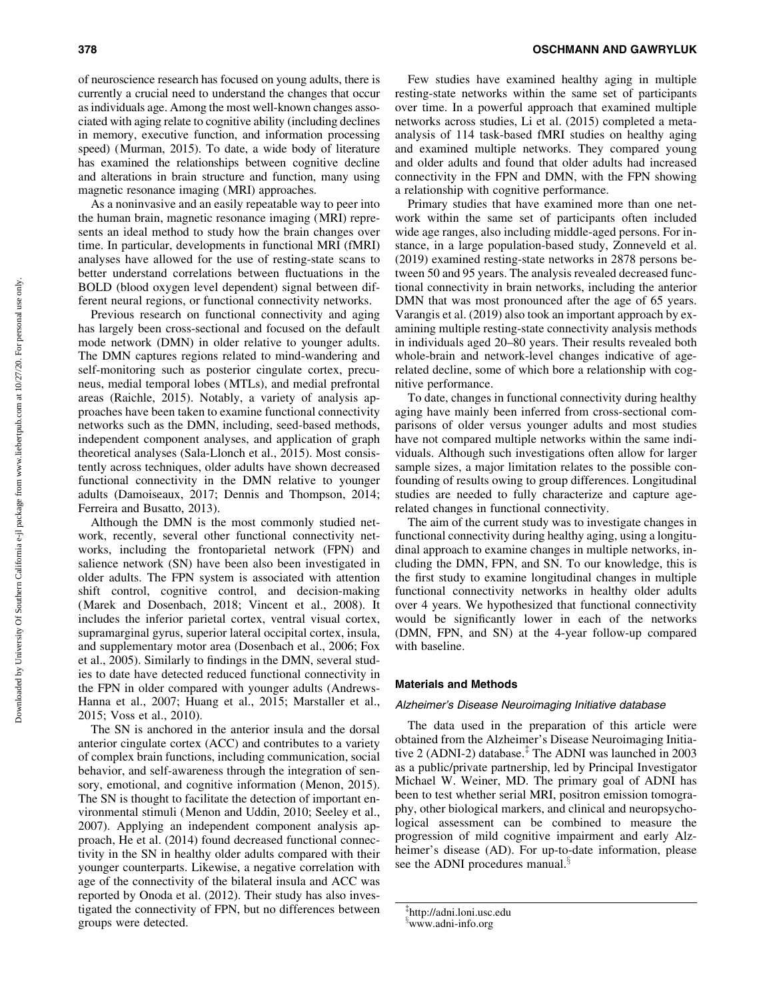of neuroscience research has focused on young adults, there is currently a crucial need to understand the changes that occur as individuals age. Among the most well-known changes associated with aging relate to cognitive ability (including declines in memory, executive function, and information processing speed) (Murman, 2015). To date, a wide body of literature has examined the relationships between cognitive decline and alterations in brain structure and function, many using magnetic resonance imaging (MRI) approaches.

As a noninvasive and an easily repeatable way to peer into the human brain, magnetic resonance imaging (MRI) represents an ideal method to study how the brain changes over time. In particular, developments in functional MRI (fMRI) analyses have allowed for the use of resting-state scans to better understand correlations between fluctuations in the BOLD (blood oxygen level dependent) signal between different neural regions, or functional connectivity networks.

Previous research on functional connectivity and aging has largely been cross-sectional and focused on the default mode network (DMN) in older relative to younger adults. The DMN captures regions related to mind-wandering and self-monitoring such as posterior cingulate cortex, precuneus, medial temporal lobes (MTLs), and medial prefrontal areas (Raichle, 2015). Notably, a variety of analysis approaches have been taken to examine functional connectivity networks such as the DMN, including, seed-based methods, independent component analyses, and application of graph theoretical analyses (Sala-Llonch et al., 2015). Most consistently across techniques, older adults have shown decreased functional connectivity in the DMN relative to younger adults (Damoiseaux, 2017; Dennis and Thompson, 2014; Ferreira and Busatto, 2013).

Although the DMN is the most commonly studied network, recently, several other functional connectivity networks, including the frontoparietal network (FPN) and salience network (SN) have been also been investigated in older adults. The FPN system is associated with attention shift control, cognitive control, and decision-making (Marek and Dosenbach, 2018; Vincent et al., 2008). It includes the inferior parietal cortex, ventral visual cortex, supramarginal gyrus, superior lateral occipital cortex, insula, and supplementary motor area (Dosenbach et al., 2006; Fox et al., 2005). Similarly to findings in the DMN, several studies to date have detected reduced functional connectivity in the FPN in older compared with younger adults (Andrews-Hanna et al., 2007; Huang et al., 2015; Marstaller et al., 2015; Voss et al., 2010).

The SN is anchored in the anterior insula and the dorsal anterior cingulate cortex (ACC) and contributes to a variety of complex brain functions, including communication, social behavior, and self-awareness through the integration of sensory, emotional, and cognitive information (Menon, 2015). The SN is thought to facilitate the detection of important environmental stimuli (Menon and Uddin, 2010; Seeley et al., 2007). Applying an independent component analysis approach, He et al. (2014) found decreased functional connectivity in the SN in healthy older adults compared with their younger counterparts. Likewise, a negative correlation with age of the connectivity of the bilateral insula and ACC was reported by Onoda et al. (2012). Their study has also investigated the connectivity of FPN, but no differences between groups were detected.

Few studies have examined healthy aging in multiple resting-state networks within the same set of participants over time. In a powerful approach that examined multiple networks across studies, Li et al. (2015) completed a metaanalysis of 114 task-based fMRI studies on healthy aging and examined multiple networks. They compared young and older adults and found that older adults had increased connectivity in the FPN and DMN, with the FPN showing a relationship with cognitive performance.

Primary studies that have examined more than one network within the same set of participants often included wide age ranges, also including middle-aged persons. For instance, in a large population-based study, Zonneveld et al. (2019) examined resting-state networks in 2878 persons between 50 and 95 years. The analysis revealed decreased functional connectivity in brain networks, including the anterior DMN that was most pronounced after the age of 65 years. Varangis et al. (2019) also took an important approach by examining multiple resting-state connectivity analysis methods in individuals aged 20–80 years. Their results revealed both whole-brain and network-level changes indicative of agerelated decline, some of which bore a relationship with cognitive performance.

To date, changes in functional connectivity during healthy aging have mainly been inferred from cross-sectional comparisons of older versus younger adults and most studies have not compared multiple networks within the same individuals. Although such investigations often allow for larger sample sizes, a major limitation relates to the possible confounding of results owing to group differences. Longitudinal studies are needed to fully characterize and capture agerelated changes in functional connectivity.

The aim of the current study was to investigate changes in functional connectivity during healthy aging, using a longitudinal approach to examine changes in multiple networks, including the DMN, FPN, and SN. To our knowledge, this is the first study to examine longitudinal changes in multiple functional connectivity networks in healthy older adults over 4 years. We hypothesized that functional connectivity would be significantly lower in each of the networks (DMN, FPN, and SN) at the 4-year follow-up compared with baseline.

## Materials and Methods

#### Alzheimer's Disease Neuroimaging Initiative database

The data used in the preparation of this article were obtained from the Alzheimer's Disease Neuroimaging Initiative 2 (ADNI-2) database.<sup> $\ddagger$ </sup> The ADNI was launched in 2003 as a public/private partnership, led by Principal Investigator Michael W. Weiner, MD. The primary goal of ADNI has been to test whether serial MRI, positron emission tomography, other biological markers, and clinical and neuropsychological assessment can be combined to measure the progression of mild cognitive impairment and early Alzheimer's disease (AD). For up-to-date information, please see the ADNI procedures manual.<sup>3</sup>

<sup>{</sup> <http://adni.loni.usc.edu>

x [www.adni-info.org](http://www.adni-info.org)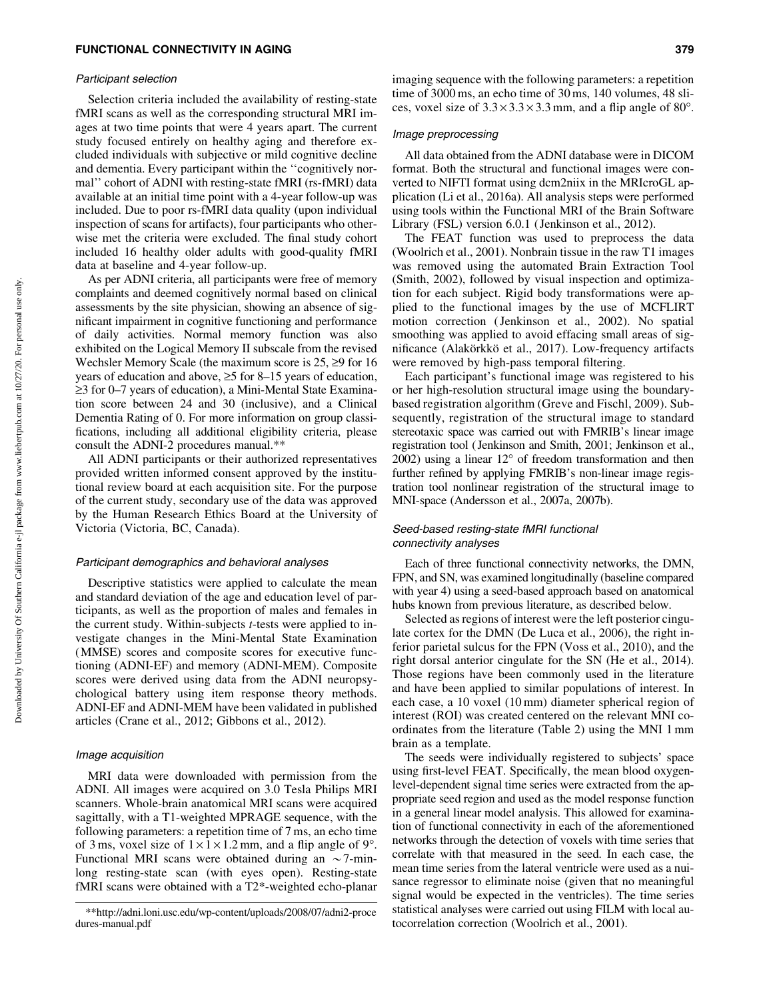#### Participant selection

Selection criteria included the availability of resting-state fMRI scans as well as the corresponding structural MRI images at two time points that were 4 years apart. The current study focused entirely on healthy aging and therefore excluded individuals with subjective or mild cognitive decline and dementia. Every participant within the ''cognitively normal'' cohort of ADNI with resting-state fMRI (rs-fMRI) data available at an initial time point with a 4-year follow-up was included. Due to poor rs-fMRI data quality (upon individual inspection of scans for artifacts), four participants who otherwise met the criteria were excluded. The final study cohort included 16 healthy older adults with good-quality fMRI data at baseline and 4-year follow-up.

As per ADNI criteria, all participants were free of memory complaints and deemed cognitively normal based on clinical assessments by the site physician, showing an absence of significant impairment in cognitive functioning and performance of daily activities. Normal memory function was also exhibited on the Logical Memory II subscale from the revised Wechsler Memory Scale (the maximum score is  $25$ ,  $\geq$ 9 for 16 years of education and above,  $\geq$ 5 for 8–15 years of education,  $\geq$ 3 for 0–7 years of education), a Mini-Mental State Examination score between 24 and 30 (inclusive), and a Clinical Dementia Rating of 0. For more information on group classifications, including all additional eligibility criteria, please consult the ADNI-2 procedures manual.\*\*

All ADNI participants or their authorized representatives provided written informed consent approved by the institutional review board at each acquisition site. For the purpose of the current study, secondary use of the data was approved by the Human Research Ethics Board at the University of Victoria (Victoria, BC, Canada).

## Participant demographics and behavioral analyses

Descriptive statistics were applied to calculate the mean and standard deviation of the age and education level of participants, as well as the proportion of males and females in the current study. Within-subjects *t*-tests were applied to investigate changes in the Mini-Mental State Examination (MMSE) scores and composite scores for executive functioning (ADNI-EF) and memory (ADNI-MEM). Composite scores were derived using data from the ADNI neuropsychological battery using item response theory methods. ADNI-EF and ADNI-MEM have been validated in published articles (Crane et al., 2012; Gibbons et al., 2012).

# Image acquisition

MRI data were downloaded with permission from the ADNI. All images were acquired on 3.0 Tesla Philips MRI scanners. Whole-brain anatomical MRI scans were acquired sagittally, with a T1-weighted MPRAGE sequence, with the following parameters: a repetition time of 7 ms, an echo time of 3 ms, voxel size of  $1 \times 1 \times 1.2$  mm, and a flip angle of 9°. Functional MRI scans were obtained during an  $\sim$ 7-minlong resting-state scan (with eyes open). Resting-state fMRI scans were obtained with a T2\*-weighted echo-planar imaging sequence with the following parameters: a repetition time of 3000 ms, an echo time of 30 ms, 140 volumes, 48 slices, voxel size of  $3.3 \times 3.3 \times 3.3$  mm, and a flip angle of 80°.

#### Image preprocessing

All data obtained from the ADNI database were in DICOM format. Both the structural and functional images were converted to NIFTI format using dcm2niix in the MRIcroGL application (Li et al., 2016a). All analysis steps were performed using tools within the Functional MRI of the Brain Software Library (FSL) version 6.0.1 (Jenkinson et al., 2012).

The FEAT function was used to preprocess the data (Woolrich et al., 2001). Nonbrain tissue in the raw T1 images was removed using the automated Brain Extraction Tool (Smith, 2002), followed by visual inspection and optimization for each subject. Rigid body transformations were applied to the functional images by the use of MCFLIRT motion correction ( Jenkinson et al., 2002). No spatial smoothing was applied to avoid effacing small areas of significance (Alakörkkö et al., 2017). Low-frequency artifacts were removed by high-pass temporal filtering.

Each participant's functional image was registered to his or her high-resolution structural image using the boundarybased registration algorithm (Greve and Fischl, 2009). Subsequently, registration of the structural image to standard stereotaxic space was carried out with FMRIB's linear image registration tool (Jenkinson and Smith, 2001; Jenkinson et al.,  $2002$ ) using a linear  $12^{\circ}$  of freedom transformation and then further refined by applying FMRIB's non-linear image registration tool nonlinear registration of the structural image to MNI-space (Andersson et al., 2007a, 2007b).

## Seed-based resting-state fMRI functional connectivity analyses

Each of three functional connectivity networks, the DMN, FPN, and SN, was examined longitudinally (baseline compared with year 4) using a seed-based approach based on anatomical hubs known from previous literature, as described below.

Selected as regions of interest were the left posterior cingulate cortex for the DMN (De Luca et al., 2006), the right inferior parietal sulcus for the FPN (Voss et al., 2010), and the right dorsal anterior cingulate for the SN (He et al., 2014). Those regions have been commonly used in the literature and have been applied to similar populations of interest. In each case, a 10 voxel (10 mm) diameter spherical region of interest (ROI) was created centered on the relevant MNI coordinates from the literature (Table 2) using the MNI 1 mm brain as a template.

The seeds were individually registered to subjects' space using first-level FEAT. Specifically, the mean blood oxygenlevel-dependent signal time series were extracted from the appropriate seed region and used as the model response function in a general linear model analysis. This allowed for examination of functional connectivity in each of the aforementioned networks through the detection of voxels with time series that correlate with that measured in the seed. In each case, the mean time series from the lateral ventricle were used as a nuisance regressor to eliminate noise (given that no meaningful signal would be expected in the ventricles). The time series statistical analyses were carried out using FILM with local autocorrelation correction (Woolrich et al., 2001).

<sup>\*</sup>[\\*http://adni.loni.usc.edu/wp-content/uploads/2008/07/adni2-proce](http://adni.loni.usc.edu/wp-content/uploads/2008/07/adni2-procedures-manual.pdf) [dures-manual.pdf](http://adni.loni.usc.edu/wp-content/uploads/2008/07/adni2-procedures-manual.pdf)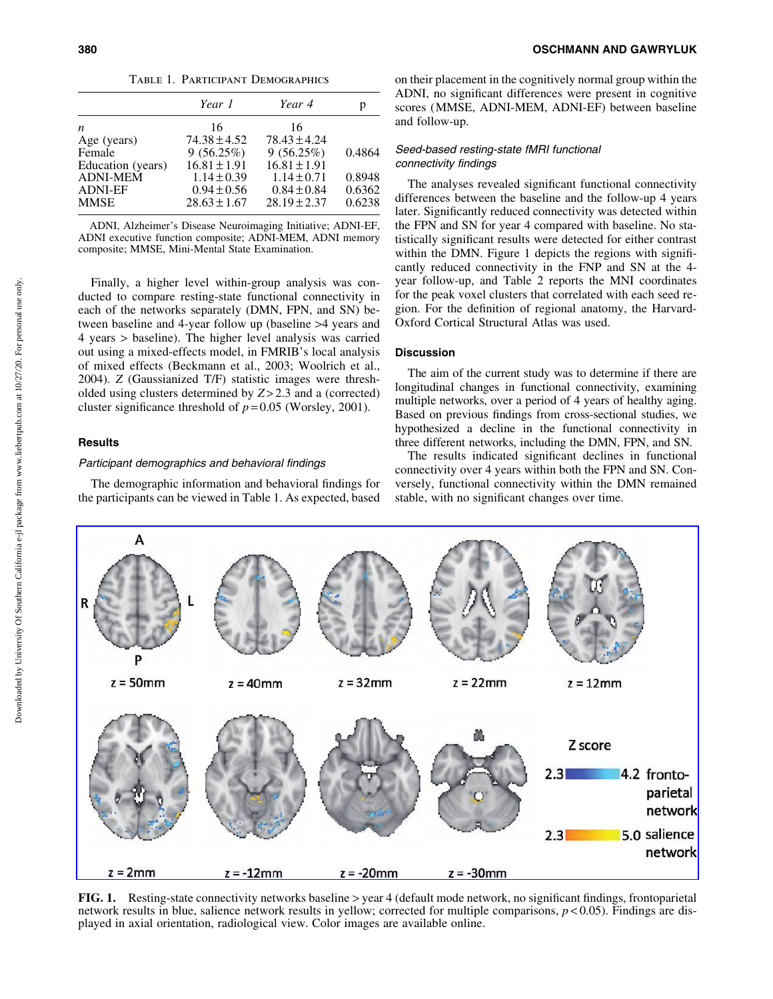| TABLE 1. PARTICIPANT DEMOGRAPHICS |                  |                  |        |  |
|-----------------------------------|------------------|------------------|--------|--|
|                                   | Year 1           | Year 4           | р      |  |
| n                                 | 16               | 16               |        |  |
| Age (years)                       | $74.38 \pm 4.52$ | $78.43 \pm 4.24$ |        |  |
| Female                            | 9(56.25%)        | 9(56.25%)        | 0.4864 |  |
| Education (years)                 | $16.81 \pm 1.91$ | $16.81 \pm 1.91$ |        |  |
| <b>ADNI-MEM</b>                   | $1.14 \pm 0.39$  | $1.14 \pm 0.71$  | 0.8948 |  |
| <b>ADNI-EF</b>                    | $0.94 \pm 0.56$  | $0.84 \pm 0.84$  | 0.6362 |  |
| MMSE                              | $28.63 \pm 1.67$ | $28.19 \pm 2.37$ | 0.6238 |  |
|                                   |                  |                  |        |  |

ADNI, Alzheimer's Disease Neuroimaging Initiative; ADNI-EF, ADNI executive function composite; ADNI-MEM, ADNI memory composite; MMSE, Mini-Mental State Examination.

Finally, a higher level within-group analysis was conducted to compare resting-state functional connectivity in each of the networks separately (DMN, FPN, and SN) between baseline and 4-year follow up (baseline >4 years and 4 years > baseline). The higher level analysis was carried out using a mixed-effects model, in FMRIB's local analysis of mixed effects (Beckmann et al., 2003; Woolrich et al., 2004). *Z* (Gaussianized T/F) statistic images were thresholded using clusters determined by *Z* > 2.3 and a (corrected) cluster significance threshold of  $p = 0.05$  (Worsley, 2001).

# **Results**

# Participant demographics and behavioral findings

The demographic information and behavioral findings for the participants can be viewed in Table 1. As expected, based on their placement in the cognitively normal group within the ADNI, no significant differences were present in cognitive scores (MMSE, ADNI-MEM, ADNI-EF) between baseline and follow-up.

## Seed-based resting-state fMRI functional connectivity findings

The analyses revealed significant functional connectivity differences between the baseline and the follow-up 4 years later. Significantly reduced connectivity was detected within the FPN and SN for year 4 compared with baseline. No statistically significant results were detected for either contrast within the DMN. Figure 1 depicts the regions with significantly reduced connectivity in the FNP and SN at the 4 year follow-up, and Table 2 reports the MNI coordinates for the peak voxel clusters that correlated with each seed region. For the definition of regional anatomy, the Harvard-Oxford Cortical Structural Atlas was used.

# Discussion

The aim of the current study was to determine if there are longitudinal changes in functional connectivity, examining multiple networks, over a period of 4 years of healthy aging. Based on previous findings from cross-sectional studies, we hypothesized a decline in the functional connectivity in three different networks, including the DMN, FPN, and SN.

The results indicated significant declines in functional connectivity over 4 years within both the FPN and SN. Conversely, functional connectivity within the DMN remained stable, with no significant changes over time.



FIG. 1. Resting-state connectivity networks baseline > year 4 (default mode network, no significant findings, frontoparietal network results in blue, salience network results in yellow; corrected for multiple comparisons, *p* < 0.05). Findings are displayed in axial orientation, radiological view. Color images are available online.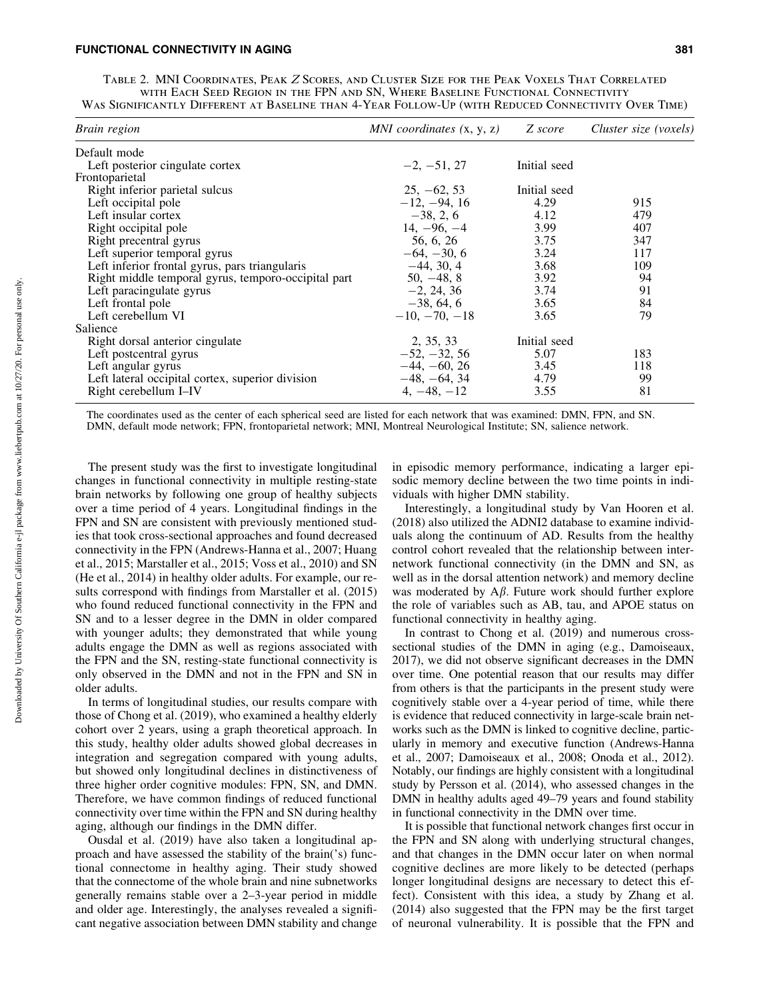### FUNCTIONAL CONNECTIVITY IN AGING 381

Table 2. MNI Coordinates, Peak Z Scores, and Cluster Size for the Peak Voxels That Correlated with Each Seed Region in the FPN and SN, Where Baseline Functional Connectivity Was Significantly Different at Baseline than 4-Year Follow-Up (with Reduced Connectivity Over Time)

| Brain region                                        | MNI coordinates $(x, y, z)$ | Z score      | Cluster size (voxels) |
|-----------------------------------------------------|-----------------------------|--------------|-----------------------|
| Default mode                                        |                             |              |                       |
| Left posterior cingulate cortex                     | $-2, -51, 27$               | Initial seed |                       |
| Frontoparietal                                      |                             |              |                       |
| Right inferior parietal sulcus                      | $25, -62, 53$               | Initial seed |                       |
| Left occipital pole                                 | $-12, -94, 16$              | 4.29         | 915                   |
| Left insular cortex                                 | $-38, 2, 6$                 | 4.12         | 479                   |
| Right occipital pole                                | $14, -96, -4$               | 3.99         | 407                   |
| Right precentral gyrus                              | 56, 6, 26                   | 3.75         | 347                   |
| Left superior temporal gyrus                        | $-64, -30, 6$               | 3.24         | 117                   |
| Left inferior frontal gyrus, pars triangularis      | $-44, 30, 4$                | 3.68         | 109                   |
| Right middle temporal gyrus, temporo-occipital part | $50, -48, 8$                | 3.92         | 94                    |
| Left paracingulate gyrus                            | $-2, 24, 36$                | 3.74         | 91                    |
| Left frontal pole                                   | $-38, 64, 6$                | 3.65         | 84                    |
| Left cerebellum VI                                  | $-10, -70, -18$             | 3.65         | 79                    |
| Salience                                            |                             |              |                       |
| Right dorsal anterior cingulate                     | 2, 35, 33                   | Initial seed |                       |
| Left postcentral gyrus                              | $-52, -32, 56$              | 5.07         | 183                   |
| Left angular gyrus                                  | $-44, -60, 26$              | 3.45         | 118                   |
| Left lateral occipital cortex, superior division    | $-48, -64, 34$              | 4.79         | 99                    |
| Right cerebellum I-IV                               | $4, -48, -12$               | 3.55         | 81                    |

The coordinates used as the center of each spherical seed are listed for each network that was examined: DMN, FPN, and SN. DMN, default mode network; FPN, frontoparietal network; MNI, Montreal Neurological Institute; SN, salience network.

The present study was the first to investigate longitudinal changes in functional connectivity in multiple resting-state brain networks by following one group of healthy subjects over a time period of 4 years. Longitudinal findings in the FPN and SN are consistent with previously mentioned studies that took cross-sectional approaches and found decreased connectivity in the FPN (Andrews-Hanna et al., 2007; Huang et al., 2015; Marstaller et al., 2015; Voss et al., 2010) and SN (He et al., 2014) in healthy older adults. For example, our results correspond with findings from Marstaller et al. (2015) who found reduced functional connectivity in the FPN and SN and to a lesser degree in the DMN in older compared with younger adults; they demonstrated that while young adults engage the DMN as well as regions associated with the FPN and the SN, resting-state functional connectivity is only observed in the DMN and not in the FPN and SN in older adults.

In terms of longitudinal studies, our results compare with those of Chong et al. (2019), who examined a healthy elderly cohort over 2 years, using a graph theoretical approach. In this study, healthy older adults showed global decreases in integration and segregation compared with young adults, but showed only longitudinal declines in distinctiveness of three higher order cognitive modules: FPN, SN, and DMN. Therefore, we have common findings of reduced functional connectivity over time within the FPN and SN during healthy aging, although our findings in the DMN differ.

Ousdal et al. (2019) have also taken a longitudinal approach and have assessed the stability of the brain('s) functional connectome in healthy aging. Their study showed that the connectome of the whole brain and nine subnetworks generally remains stable over a 2–3-year period in middle and older age. Interestingly, the analyses revealed a significant negative association between DMN stability and change in episodic memory performance, indicating a larger episodic memory decline between the two time points in individuals with higher DMN stability.

Interestingly, a longitudinal study by Van Hooren et al. (2018) also utilized the ADNI2 database to examine individuals along the continuum of AD. Results from the healthy control cohort revealed that the relationship between internetwork functional connectivity (in the DMN and SN, as well as in the dorsal attention network) and memory decline was moderated by  $A\beta$ . Future work should further explore the role of variables such as AB, tau, and APOE status on functional connectivity in healthy aging.

In contrast to Chong et al. (2019) and numerous crosssectional studies of the DMN in aging (e.g., Damoiseaux, 2017), we did not observe significant decreases in the DMN over time. One potential reason that our results may differ from others is that the participants in the present study were cognitively stable over a 4-year period of time, while there is evidence that reduced connectivity in large-scale brain networks such as the DMN is linked to cognitive decline, particularly in memory and executive function (Andrews-Hanna et al., 2007; Damoiseaux et al., 2008; Onoda et al., 2012). Notably, our findings are highly consistent with a longitudinal study by Persson et al. (2014), who assessed changes in the DMN in healthy adults aged 49–79 years and found stability in functional connectivity in the DMN over time.

It is possible that functional network changes first occur in the FPN and SN along with underlying structural changes, and that changes in the DMN occur later on when normal cognitive declines are more likely to be detected (perhaps longer longitudinal designs are necessary to detect this effect). Consistent with this idea, a study by Zhang et al. (2014) also suggested that the FPN may be the first target of neuronal vulnerability. It is possible that the FPN and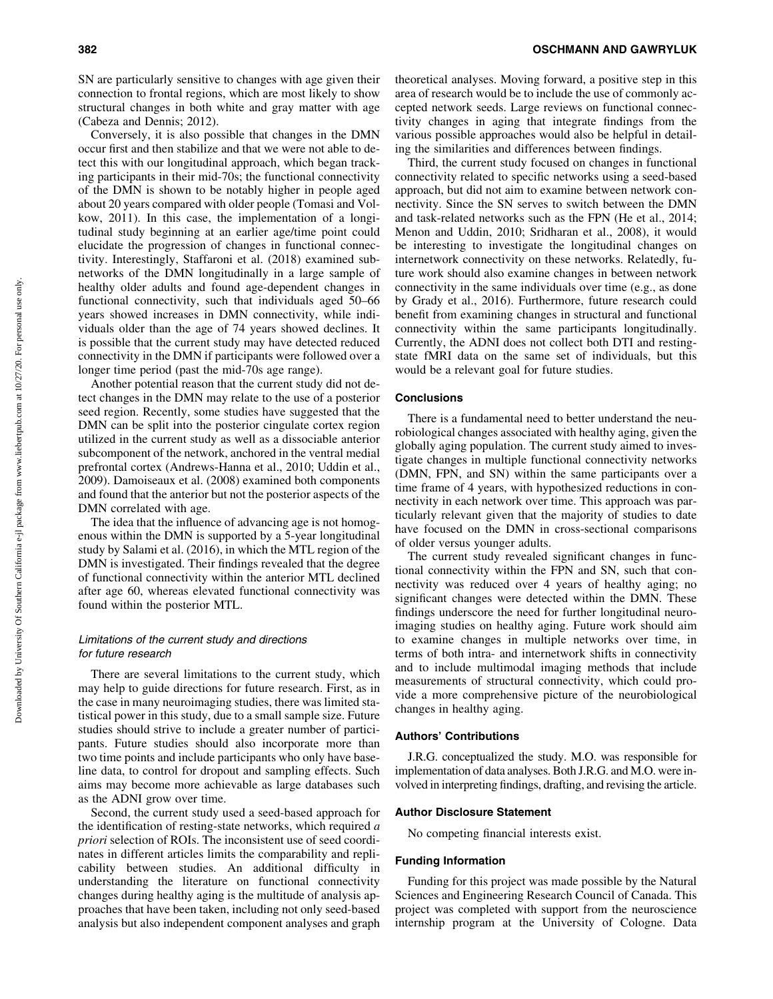SN are particularly sensitive to changes with age given their connection to frontal regions, which are most likely to show structural changes in both white and gray matter with age (Cabeza and Dennis; 2012).

Conversely, it is also possible that changes in the DMN occur first and then stabilize and that we were not able to detect this with our longitudinal approach, which began tracking participants in their mid-70s; the functional connectivity of the DMN is shown to be notably higher in people aged about 20 years compared with older people (Tomasi and Volkow, 2011). In this case, the implementation of a longitudinal study beginning at an earlier age/time point could elucidate the progression of changes in functional connectivity. Interestingly, Staffaroni et al. (2018) examined subnetworks of the DMN longitudinally in a large sample of healthy older adults and found age-dependent changes in functional connectivity, such that individuals aged 50–66 years showed increases in DMN connectivity, while individuals older than the age of 74 years showed declines. It is possible that the current study may have detected reduced connectivity in the DMN if participants were followed over a longer time period (past the mid-70s age range).

Another potential reason that the current study did not detect changes in the DMN may relate to the use of a posterior seed region. Recently, some studies have suggested that the DMN can be split into the posterior cingulate cortex region utilized in the current study as well as a dissociable anterior subcomponent of the network, anchored in the ventral medial prefrontal cortex (Andrews-Hanna et al., 2010; Uddin et al., 2009). Damoiseaux et al. (2008) examined both components and found that the anterior but not the posterior aspects of the DMN correlated with age.

The idea that the influence of advancing age is not homogenous within the DMN is supported by a 5-year longitudinal study by Salami et al. (2016), in which the MTL region of the DMN is investigated. Their findings revealed that the degree of functional connectivity within the anterior MTL declined after age 60, whereas elevated functional connectivity was found within the posterior MTL.

# Limitations of the current study and directions for future research

There are several limitations to the current study, which may help to guide directions for future research. First, as in the case in many neuroimaging studies, there was limited statistical power in this study, due to a small sample size. Future studies should strive to include a greater number of participants. Future studies should also incorporate more than two time points and include participants who only have baseline data, to control for dropout and sampling effects. Such aims may become more achievable as large databases such as the ADNI grow over time.

Second, the current study used a seed-based approach for the identification of resting-state networks, which required *a priori* selection of ROIs. The inconsistent use of seed coordinates in different articles limits the comparability and replicability between studies. An additional difficulty in understanding the literature on functional connectivity changes during healthy aging is the multitude of analysis approaches that have been taken, including not only seed-based analysis but also independent component analyses and graph theoretical analyses. Moving forward, a positive step in this area of research would be to include the use of commonly accepted network seeds. Large reviews on functional connectivity changes in aging that integrate findings from the various possible approaches would also be helpful in detailing the similarities and differences between findings.

Third, the current study focused on changes in functional connectivity related to specific networks using a seed-based approach, but did not aim to examine between network connectivity. Since the SN serves to switch between the DMN and task-related networks such as the FPN (He et al., 2014; Menon and Uddin, 2010; Sridharan et al., 2008), it would be interesting to investigate the longitudinal changes on internetwork connectivity on these networks. Relatedly, future work should also examine changes in between network connectivity in the same individuals over time (e.g., as done by Grady et al., 2016). Furthermore, future research could benefit from examining changes in structural and functional connectivity within the same participants longitudinally. Currently, the ADNI does not collect both DTI and restingstate fMRI data on the same set of individuals, but this would be a relevant goal for future studies.

#### Conclusions

There is a fundamental need to better understand the neurobiological changes associated with healthy aging, given the globally aging population. The current study aimed to investigate changes in multiple functional connectivity networks (DMN, FPN, and SN) within the same participants over a time frame of 4 years, with hypothesized reductions in connectivity in each network over time. This approach was particularly relevant given that the majority of studies to date have focused on the DMN in cross-sectional comparisons of older versus younger adults.

The current study revealed significant changes in functional connectivity within the FPN and SN, such that connectivity was reduced over 4 years of healthy aging; no significant changes were detected within the DMN. These findings underscore the need for further longitudinal neuroimaging studies on healthy aging. Future work should aim to examine changes in multiple networks over time, in terms of both intra- and internetwork shifts in connectivity and to include multimodal imaging methods that include measurements of structural connectivity, which could provide a more comprehensive picture of the neurobiological changes in healthy aging.

#### Authors' Contributions

J.R.G. conceptualized the study. M.O. was responsible for implementation of data analyses. Both J.R.G. and M.O. were involved in interpreting findings, drafting, and revising the article.

#### Author Disclosure Statement

No competing financial interests exist.

## Funding Information

Funding for this project was made possible by the Natural Sciences and Engineering Research Council of Canada. This project was completed with support from the neuroscience internship program at the University of Cologne. Data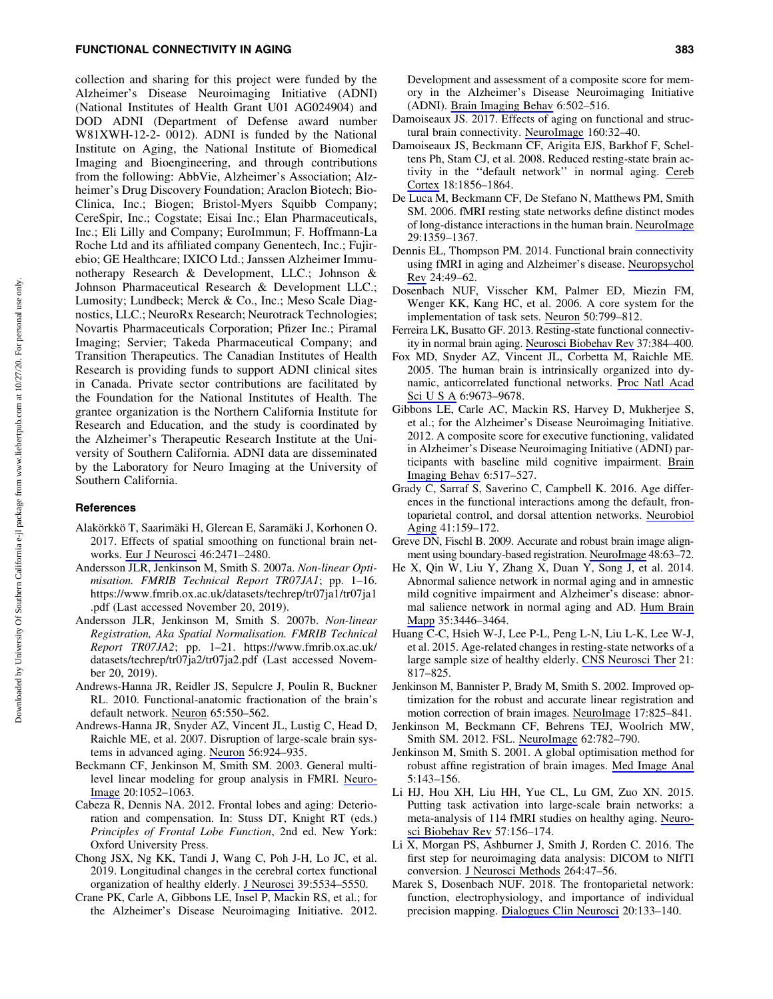## FUNCTIONAL CONNECTIVITY IN AGING 383

collection and sharing for this project were funded by the Alzheimer's Disease Neuroimaging Initiative (ADNI) (National Institutes of Health Grant U01 AG024904) and DOD ADNI (Department of Defense award number W81XWH-12-2- 0012). ADNI is funded by the National Institute on Aging, the National Institute of Biomedical Imaging and Bioengineering, and through contributions from the following: AbbVie, Alzheimer's Association; Alzheimer's Drug Discovery Foundation; Araclon Biotech; Bio-Clinica, Inc.; Biogen; Bristol-Myers Squibb Company; CereSpir, Inc.; Cogstate; Eisai Inc.; Elan Pharmaceuticals, Inc.; Eli Lilly and Company; EuroImmun; F. Hoffmann-La Roche Ltd and its affiliated company Genentech, Inc.; Fujirebio; GE Healthcare; IXICO Ltd.; Janssen Alzheimer Immunotherapy Research & Development, LLC.; Johnson & Johnson Pharmaceutical Research & Development LLC.; Lumosity; Lundbeck; Merck & Co., Inc.; Meso Scale Diagnostics, LLC.; NeuroRx Research; Neurotrack Technologies; Novartis Pharmaceuticals Corporation; Pfizer Inc.; Piramal Imaging; Servier; Takeda Pharmaceutical Company; and Transition Therapeutics. The Canadian Institutes of Health Research is providing funds to support ADNI clinical sites in Canada. Private sector contributions are facilitated by the Foundation for the National Institutes of Health. The grantee organization is the Northern California Institute for Research and Education, and the study is coordinated by the Alzheimer's Therapeutic Research Institute at the University of Southern California. ADNI data are disseminated by the Laboratory for Neuro Imaging at the University of Southern California.

#### **References**

- Alakörkkö T, Saarimäki H, Glerean E, Saramäki J, Korhonen O. 2017. Effects of spatial smoothing on functional brain networks. [Eur J Neurosci](https://www.liebertpub.com/action/showLinks?pmid=28922510&crossref=10.1111%2Fejn.13717&citationId=p_127) 46:2471–2480.
- Andersson JLR, Jenkinson M, Smith S. 2007a. *Non-linear Optimisation. FMRIB Technical Report TR07JA1*; pp. 1–16. [https://www.fmrib.ox.ac.uk/datasets/techrep/tr07ja1/tr07ja1](https://www.fmrib.ox.ac.uk/datasets/techrep/tr07ja1/tr07ja1.pdf) [.pdf](https://www.fmrib.ox.ac.uk/datasets/techrep/tr07ja1/tr07ja1.pdf) (Last accessed November 20, 2019).
- Andersson JLR, Jenkinson M, Smith S. 2007b. *Non-linear Registration, Aka Spatial Normalisation. FMRIB Technical Report TR07JA2*; pp. 1–21. [https://www.fmrib.ox.ac.uk/](https://www.fmrib.ox.ac.uk/datasets/techrep/tr07ja2/tr07ja2.pdf) [datasets/techrep/tr07ja2/tr07ja2.pdf](https://www.fmrib.ox.ac.uk/datasets/techrep/tr07ja2/tr07ja2.pdf) (Last accessed November 20, 2019).
- Andrews-Hanna JR, Reidler JS, Sepulcre J, Poulin R, Buckner RL. 2010. Functional-anatomic fractionation of the brain's default network. [Neuron](https://www.liebertpub.com/action/showLinks?pmid=20188659&crossref=10.1016%2Fj.neuron.2010.02.005&citationId=p_130) 65:550–562.
- Andrews-Hanna JR, Snyder AZ, Vincent JL, Lustig C, Head D, Raichle ME, et al. 2007. Disruption of large-scale brain systems in advanced aging. [Neuron](https://www.liebertpub.com/action/showLinks?pmid=18054866&crossref=10.1016%2Fj.neuron.2007.10.038&citationId=p_131) 56:924–935.
- Beckmann CF, Jenkinson M, Smith SM. 2003. General multilevel linear modeling for group analysis in FMRI. [Neuro-](https://www.liebertpub.com/action/showLinks?pmid=14568475&crossref=10.1016%2FS1053-8119%2803%2900435-X&citationId=p_132)[Image](https://www.liebertpub.com/action/showLinks?pmid=14568475&crossref=10.1016%2FS1053-8119%2803%2900435-X&citationId=p_132) 20:1052–1063.
- Cabeza R, Dennis NA. 2012. Frontal lobes and aging: Deterioration and compensation. In: Stuss DT, Knight RT (eds.) *Principles of Frontal Lobe Function*, 2nd ed. New York: Oxford University Press.
- Chong JSX, Ng KK, Tandi J, Wang C, Poh J-H, Lo JC, et al. 2019. Longitudinal changes in the cerebral cortex functional organization of healthy elderly. [J Neurosci](https://www.liebertpub.com/action/showLinks?pmid=31109962&crossref=10.1523%2FJNEUROSCI.1451-18.2019&citationId=p_134) 39:5534–5550.
- Crane PK, Carle A, Gibbons LE, Insel P, Mackin RS, et al.; for the Alzheimer's Disease Neuroimaging Initiative. 2012.

Development and assessment of a composite score for memory in the Alzheimer's Disease Neuroimaging Initiative (ADNI). [Brain Imaging Behav](https://www.liebertpub.com/action/showLinks?pmid=22782295&crossref=10.1007%2Fs11682-012-9186-z&citationId=p_135) 6:502–516.

- Damoiseaux JS. 2017. Effects of aging on functional and structural brain connectivity. [NeuroImage](https://www.liebertpub.com/action/showLinks?pmid=28159687&crossref=10.1016%2Fj.neuroimage.2017.01.077&citationId=p_136) 160:32–40.
- Damoiseaux JS, Beckmann CF, Arigita EJS, Barkhof F, Scheltens Ph, Stam CJ, et al. 2008. Reduced resting-state brain activity in the ''default network'' in normal aging. [Cereb](https://www.liebertpub.com/action/showLinks?pmid=18063564&crossref=10.1093%2Fcercor%2Fbhm207&citationId=p_137) [Cortex](https://www.liebertpub.com/action/showLinks?pmid=18063564&crossref=10.1093%2Fcercor%2Fbhm207&citationId=p_137) 18:1856–1864.
- De Luca M, Beckmann CF, De Stefano N, Matthews PM, Smith SM. 2006. fMRI resting state networks define distinct modes of long-distance interactions in the human brain. [NeuroImage](https://www.liebertpub.com/action/showLinks?pmid=16260155&crossref=10.1016%2Fj.neuroimage.2005.08.035&citationId=p_138) 29:1359–1367.
- Dennis EL, Thompson PM. 2014. Functional brain connectivity using fMRI in aging and Alzheimer's disease. [Neuropsychol](https://www.liebertpub.com/action/showLinks?pmid=24562737&crossref=10.1007%2Fs11065-014-9249-6&citationId=p_139) [Rev](https://www.liebertpub.com/action/showLinks?pmid=24562737&crossref=10.1007%2Fs11065-014-9249-6&citationId=p_139) 24:49–62.
- Dosenbach NUF, Visscher KM, Palmer ED, Miezin FM, Wenger KK, Kang HC, et al. 2006. A core system for the implementation of task sets. [Neuron](https://www.liebertpub.com/action/showLinks?pmid=16731517&crossref=10.1016%2Fj.neuron.2006.04.031&citationId=p_140) 50:799–812.
- Ferreira LK, Busatto GF. 2013. Resting-state functional connectivity in normal brain aging. [Neurosci Biobehav Rev](https://www.liebertpub.com/action/showLinks?pmid=23333262&crossref=10.1016%2Fj.neubiorev.2013.01.017&citationId=p_141) 37:384–400.
- Fox MD, Snyder AZ, Vincent JL, Corbetta M, Raichle ME. 2005. The human brain is intrinsically organized into dynamic, anticorrelated functional networks. [Proc Natl Acad](https://www.liebertpub.com/action/showLinks?crossref=10.1073%2Fpnas.0504136102&citationId=p_142) [Sci U S A](https://www.liebertpub.com/action/showLinks?crossref=10.1073%2Fpnas.0504136102&citationId=p_142) 6:9673–9678.
- Gibbons LE, Carle AC, Mackin RS, Harvey D, Mukherjee S, et al.; for the Alzheimer's Disease Neuroimaging Initiative. 2012. A composite score for executive functioning, validated in Alzheimer's Disease Neuroimaging Initiative (ADNI) participants with baseline mild cognitive impairment. [Brain](https://www.liebertpub.com/action/showLinks?pmid=22644789&crossref=10.1007%2Fs11682-012-9176-1&citationId=p_143) [Imaging Behav](https://www.liebertpub.com/action/showLinks?pmid=22644789&crossref=10.1007%2Fs11682-012-9176-1&citationId=p_143) 6:517–527.
- Grady C, Sarraf S, Saverino C, Campbell K. 2016. Age differences in the functional interactions among the default, frontoparietal control, and dorsal attention networks. [Neurobiol](https://www.liebertpub.com/action/showLinks?pmid=27103529&crossref=10.1016%2Fj.neurobiolaging.2016.02.020&citationId=p_144) [Aging](https://www.liebertpub.com/action/showLinks?pmid=27103529&crossref=10.1016%2Fj.neurobiolaging.2016.02.020&citationId=p_144) 41:159–172.
- Greve DN, Fischl B. 2009. Accurate and robust brain image alignment using boundary-based registration. [NeuroImage](https://www.liebertpub.com/action/showLinks?pmid=19573611&crossref=10.1016%2Fj.neuroimage.2009.06.060&citationId=p_145) 48:63–72.
- He X, Qin W, Liu Y, Zhang X, Duan Y, Song J, et al. 2014. Abnormal salience network in normal aging and in amnestic mild cognitive impairment and Alzheimer's disease: abnormal salience network in normal aging and AD. [Hum Brain](https://www.liebertpub.com/action/showLinks?pmid=24222384&crossref=10.1002%2Fhbm.22414&citationId=p_146) [Mapp](https://www.liebertpub.com/action/showLinks?pmid=24222384&crossref=10.1002%2Fhbm.22414&citationId=p_146) 35:3446–3464.
- Huang C-C, Hsieh W-J, Lee P-L, Peng L-N, Liu L-K, Lee W-J, et al. 2015. Age-related changes in resting-state networks of a large sample size of healthy elderly. [CNS Neurosci Ther](https://www.liebertpub.com/action/showLinks?pmid=25864728&crossref=10.1111%2Fcns.12396&citationId=p_147) 21: 817–825.
- Jenkinson M, Bannister P, Brady M, Smith S. 2002. Improved optimization for the robust and accurate linear registration and motion correction of brain images. [NeuroImage](https://www.liebertpub.com/action/showLinks?pmid=12377157&crossref=10.1006%2Fnimg.2002.1132&citationId=p_148) 17:825–841.
- Jenkinson M, Beckmann CF, Behrens TEJ, Woolrich MW, Smith SM. 2012. FSL. [NeuroImage](https://www.liebertpub.com/action/showLinks?pmid=21979382&crossref=10.1016%2Fj.neuroimage.2011.09.015&citationId=p_149) 62:782–790.
- Jenkinson M, Smith S. 2001. A global optimisation method for robust affine registration of brain images. [Med Image Anal](https://www.liebertpub.com/action/showLinks?pmid=11516708&crossref=10.1016%2FS1361-8415%2801%2900036-6&citationId=p_150) 5:143–156.
- Li HJ, Hou XH, Liu HH, Yue CL, Lu GM, Zuo XN. 2015. Putting task activation into large-scale brain networks: a meta-analysis of 114 fMRI studies on healthy aging. [Neuro](https://www.liebertpub.com/action/showLinks?pmid=26318367&crossref=10.1016%2Fj.neubiorev.2015.08.013&citationId=p_151)[sci Biobehav Rev](https://www.liebertpub.com/action/showLinks?pmid=26318367&crossref=10.1016%2Fj.neubiorev.2015.08.013&citationId=p_151) 57:156–174.
- Li X, Morgan PS, Ashburner J, Smith J, Rorden C. 2016. The first step for neuroimaging data analysis: DICOM to NIfTI conversion. [J Neurosci Methods](https://www.liebertpub.com/action/showLinks?pmid=26945974&crossref=10.1016%2Fj.jneumeth.2016.03.001&citationId=p_152) 264:47–56.
- Marek S, Dosenbach NUF. 2018. The frontoparietal network: function, electrophysiology, and importance of individual precision mapping. [Dialogues Clin Neurosci](https://www.liebertpub.com/action/showLinks?pmid=30250390&crossref=10.31887%2FDCNS.2018.20.2%2Fsmarek&citationId=p_153) 20:133–140.